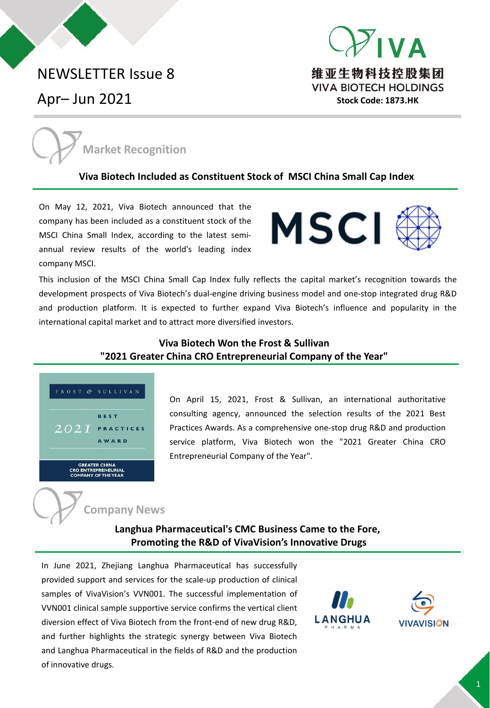# NEWSLETTER Issue 8

Apr– Jun 2021





#### **Viva Biotech [Included as Constituent Stock of MSCI China Small Cap Index](https://www.vivabiotech.com.cn/news/83.html)**

On May 12, 2021, Viva Biotech announced that the company has been included as a constituent stock of the MSCI China Small Index, according to the latest semiannual review results of the world's leading index company MSCI.



This inclusion of the MSCI China Small Cap Index fully reflects the capital market's recognition towards the development prospects of Viva Biotech's dual-engine driving business model and one-stop integrated drug R&D and production platform. It is expected to further expand Viva Biotech's influence and popularity in the international capital market and to attract more diversified investors.

## **Viva Biotech Won the Frost & Sullivan ["2021 Greater China CRO Entrepreneurial Company of the Year"](https://www.vivabiotech.com.cn/news/75.html)**



On April 15, 2021, Frost & Sullivan, an international authoritative consulting agency, announced the selection results of the 2021 Best Practices Awards. As a comprehensive one-stop drug R&D and production service platform, Viva Biotech won the "2021 Greater China CRO Entrepreneurial Company of the Year".



**Langhua [Pharmaceutical's CMC Business Came to the Fore,](https://www.vivabiotech.com.cn/news/89.html) Promoting the R&D of VivaVision's Innovative Drugs**

In June 2021, Zhejiang Langhua Pharmaceutical has successfully provided support and services for the scale-up production of clinical samples of VivaVision's VVN001. The successful implementation of VVN001 clinical sample supportive service confirms the vertical client diversion effect of Viva Biotech from the front-end of new drug R&D, and further highlights the strategic synergy between Viva Biotech and Langhua Pharmaceutical in the fields of R&D and the production of innovative drugs.



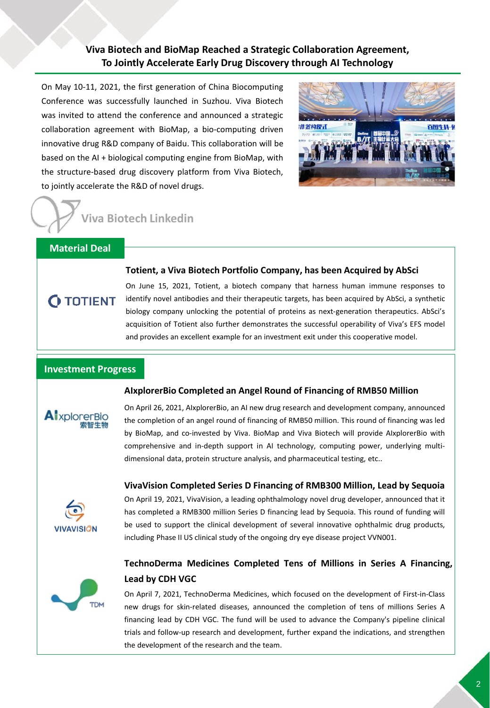## **Viva Biotech and BioMap Reached a Strategic Collaboration Agreement, [To Jointly Accelerate Early Drug Discovery through AI Technology](https://www.vivabiotech.com.cn/news/80.html)**

On May 10-11, 2021, the first generation of China Biocomputing Conference was successfully launched in Suzhou. Viva Biotech was invited to attend the conference and announced a strategic collaboration agreement with BioMap, a bio-computing driven innovative drug R&D company of Baidu. This collaboration will be based on the AI + biological computing engine from BioMap, with the structure-based drug discovery platform from Viva Biotech, to jointly accelerate the R&D of novel drugs.



## **Viva Biotech Linkedin**

## **Material Deal**

#### **Totient, a Viva Biotech Portfolio [Company,](https://www.vivabiotech.com.cn/news/86.html) has been Acquired by AbSci**

**O TOTIENT** 

On June 15, 2021, Totient, a biotech company that harness human immune responses to identify novel antibodies and their therapeutic targets, has been acquired by AbSci, a synthetic biology company unlocking the potential of proteins as next-generation therapeutics. AbSci's acquisition of Totient also further demonstrates the successful operability of Viva's EFS model and provides an excellent example for an investment exit under this cooperative model.

#### **Investment Progress**



On April 26, 2021, AIxplorerBio, an AI new drug research and development company, announced the completion of an angel round of financing of RMB50 million. This round of financing was led by BioMap, and co-invested by Viva. BioMap and Viva Biotech will provide AIxplorerBio with comprehensive and in-depth support in AI technology, computing power, underlying multidimensional data, protein structure analysis, and pharmaceutical testing, etc..

**[AIxplorerBio](https://mp.weixin.qq.com/s/Bf2hebRPQvidiCrwxtUXOw) Completed an Angel Round of Financing of RMB50 Million**



On April 19, 2021, VivaVision, a leading ophthalmology novel drug developer, announced that it has completed a RMB300 million Series D financing lead by Sequoia. This round of funding will be used to support the clinical development of several innovative ophthalmic drug products, including Phase II US clinical study of the ongoing dry eye disease project VVN001. **VivaVision [Completed](https://www.vivabiotech.com.cn/news/76.html) Series D Financing of RMB300 Million, Lead by Sequoia**



## **[TechnoDerma](https://mp.weixin.qq.com/s/LfQz1o8b9X_aZrJRPDcETA) Medicines Completed Tens of Millions in Series A Financing, Lead by CDH VGC**

On April 7, 2021, TechnoDerma Medicines, which focused on the development of First-in-Class new drugs for skin-related diseases, announced the completion of tens of millions Series A financing lead by CDH VGC. The fund will be used to advance the Company's pipeline clinical trials and follow-up research and development, further expand the indications, and strengthen the development of the research and the team.